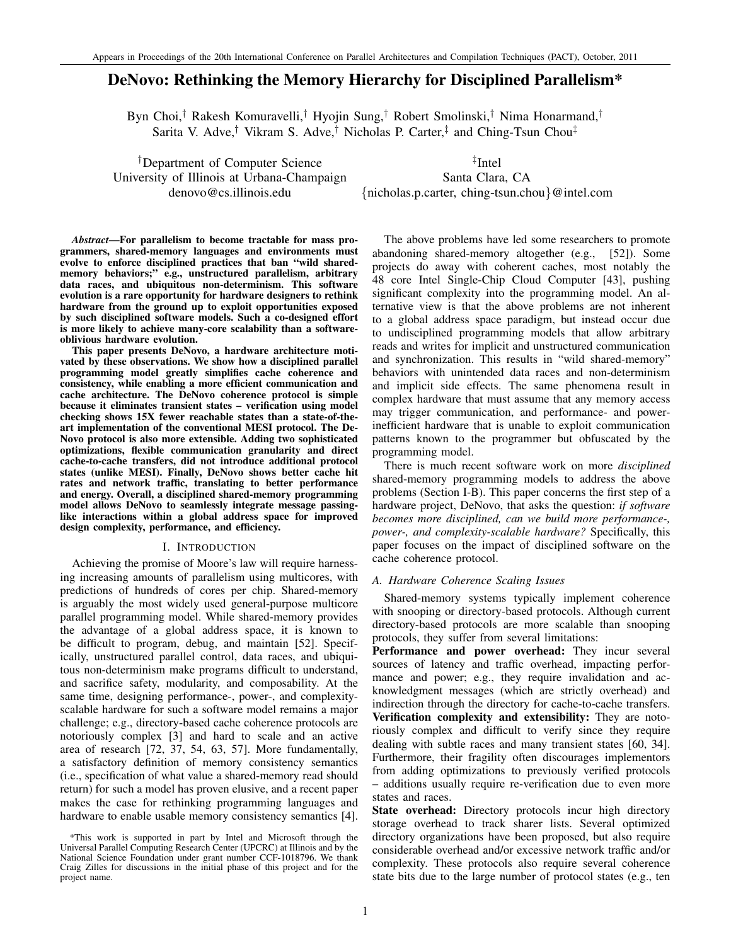## DeNovo: Rethinking the Memory Hierarchy for Disciplined Parallelism\*

Byn Choi,† Rakesh Komuravelli,† Hyojin Sung,† Robert Smolinski,† Nima Honarmand,† Sarita V. Adve,† Vikram S. Adve,† Nicholas P. Carter,‡ and Ching-Tsun Chou‡

<sup>†</sup>Department of Computer Science University of Illinois at Urbana-Champaign Santa Clara, CA

Intel

# denovo@cs.illinois.edu {nicholas.p.carter, ching-tsun.chou}@intel.com

*Abstract*—For parallelism to become tractable for mass programmers, shared-memory languages and environments must evolve to enforce disciplined practices that ban "wild sharedmemory behaviors;" e.g., unstructured parallelism, arbitrary data races, and ubiquitous non-determinism. This software evolution is a rare opportunity for hardware designers to rethink hardware from the ground up to exploit opportunities exposed by such disciplined software models. Such a co-designed effort is more likely to achieve many-core scalability than a softwareoblivious hardware evolution.

This paper presents DeNovo, a hardware architecture motivated by these observations. We show how a disciplined parallel programming model greatly simplifies cache coherence and consistency, while enabling a more efficient communication and cache architecture. The DeNovo coherence protocol is simple because it eliminates transient states – verification using model checking shows 15X fewer reachable states than a state-of-theart implementation of the conventional MESI protocol. The De-Novo protocol is also more extensible. Adding two sophisticated optimizations, flexible communication granularity and direct cache-to-cache transfers, did not introduce additional protocol states (unlike MESI). Finally, DeNovo shows better cache hit rates and network traffic, translating to better performance and energy. Overall, a disciplined shared-memory programming model allows DeNovo to seamlessly integrate message passinglike interactions within a global address space for improved design complexity, performance, and efficiency.

#### I. INTRODUCTION

Achieving the promise of Moore's law will require harnessing increasing amounts of parallelism using multicores, with predictions of hundreds of cores per chip. Shared-memory is arguably the most widely used general-purpose multicore parallel programming model. While shared-memory provides the advantage of a global address space, it is known to be difficult to program, debug, and maintain [52]. Specifically, unstructured parallel control, data races, and ubiquitous non-determinism make programs difficult to understand, and sacrifice safety, modularity, and composability. At the same time, designing performance-, power-, and complexityscalable hardware for such a software model remains a major challenge; e.g., directory-based cache coherence protocols are notoriously complex [3] and hard to scale and an active area of research [72, 37, 54, 63, 57]. More fundamentally, a satisfactory definition of memory consistency semantics (i.e., specification of what value a shared-memory read should return) for such a model has proven elusive, and a recent paper makes the case for rethinking programming languages and hardware to enable usable memory consistency semantics [4].

The above problems have led some researchers to promote abandoning shared-memory altogether (e.g., [52]). Some projects do away with coherent caches, most notably the 48 core Intel Single-Chip Cloud Computer [43], pushing significant complexity into the programming model. An alternative view is that the above problems are not inherent to a global address space paradigm, but instead occur due to undisciplined programming models that allow arbitrary reads and writes for implicit and unstructured communication and synchronization. This results in "wild shared-memory" behaviors with unintended data races and non-determinism and implicit side effects. The same phenomena result in complex hardware that must assume that any memory access may trigger communication, and performance- and powerinefficient hardware that is unable to exploit communication patterns known to the programmer but obfuscated by the programming model.

There is much recent software work on more *disciplined* shared-memory programming models to address the above problems (Section I-B). This paper concerns the first step of a hardware project, DeNovo, that asks the question: *if software becomes more disciplined, can we build more performance-, power-, and complexity-scalable hardware?* Specifically, this paper focuses on the impact of disciplined software on the cache coherence protocol.

#### *A. Hardware Coherence Scaling Issues*

Shared-memory systems typically implement coherence with snooping or directory-based protocols. Although current directory-based protocols are more scalable than snooping protocols, they suffer from several limitations:

Performance and power overhead: They incur several sources of latency and traffic overhead, impacting performance and power; e.g., they require invalidation and acknowledgment messages (which are strictly overhead) and indirection through the directory for cache-to-cache transfers. Verification complexity and extensibility: They are notoriously complex and difficult to verify since they require dealing with subtle races and many transient states [60, 34]. Furthermore, their fragility often discourages implementors from adding optimizations to previously verified protocols – additions usually require re-verification due to even more states and races.

State overhead: Directory protocols incur high directory storage overhead to track sharer lists. Several optimized directory organizations have been proposed, but also require considerable overhead and/or excessive network traffic and/or complexity. These protocols also require several coherence state bits due to the large number of protocol states (e.g., ten

<sup>\*</sup>This work is supported in part by Intel and Microsoft through the Universal Parallel Computing Research Center (UPCRC) at Illinois and by the National Science Foundation under grant number CCF-1018796. We thank Craig Zilles for discussions in the initial phase of this project and for the project name.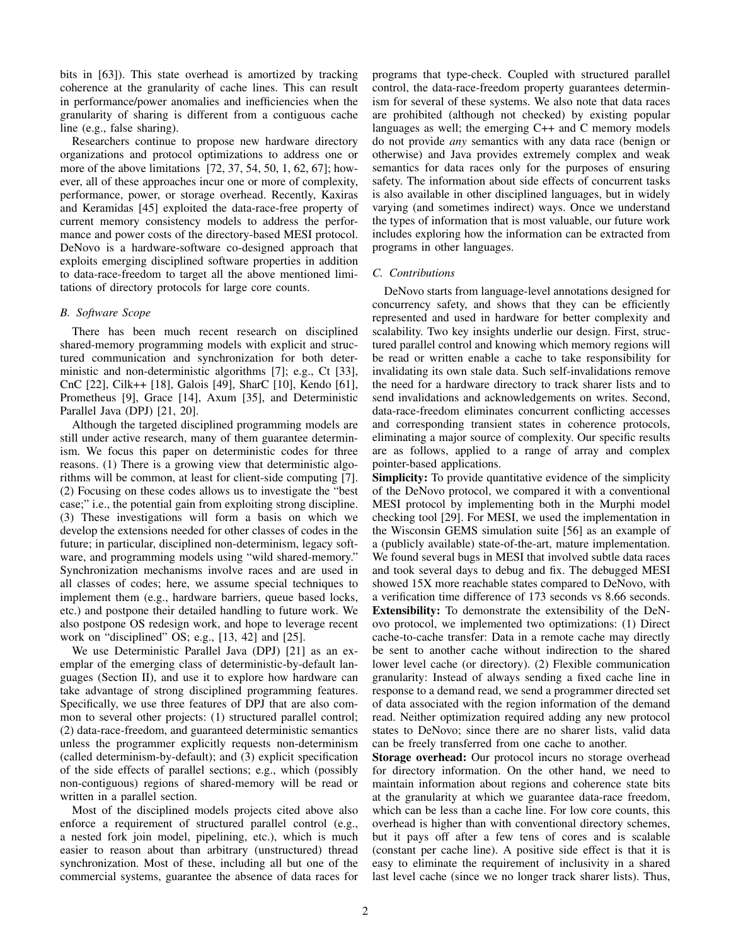bits in [63]). This state overhead is amortized by tracking coherence at the granularity of cache lines. This can result in performance/power anomalies and inefficiencies when the granularity of sharing is different from a contiguous cache line (e.g., false sharing).

Researchers continue to propose new hardware directory organizations and protocol optimizations to address one or more of the above limitations [72, 37, 54, 50, 1, 62, 67]; however, all of these approaches incur one or more of complexity, performance, power, or storage overhead. Recently, Kaxiras and Keramidas [45] exploited the data-race-free property of current memory consistency models to address the performance and power costs of the directory-based MESI protocol. DeNovo is a hardware-software co-designed approach that exploits emerging disciplined software properties in addition to data-race-freedom to target all the above mentioned limitations of directory protocols for large core counts.

## *B. Software Scope*

There has been much recent research on disciplined shared-memory programming models with explicit and structured communication and synchronization for both deterministic and non-deterministic algorithms [7]; e.g., Ct [33], CnC [22], Cilk++ [18], Galois [49], SharC [10], Kendo [61], Prometheus [9], Grace [14], Axum [35], and Deterministic Parallel Java (DPJ) [21, 20].

Although the targeted disciplined programming models are still under active research, many of them guarantee determinism. We focus this paper on deterministic codes for three reasons. (1) There is a growing view that deterministic algorithms will be common, at least for client-side computing [7]. (2) Focusing on these codes allows us to investigate the "best case;" i.e., the potential gain from exploiting strong discipline. (3) These investigations will form a basis on which we develop the extensions needed for other classes of codes in the future; in particular, disciplined non-determinism, legacy software, and programming models using "wild shared-memory." Synchronization mechanisms involve races and are used in all classes of codes; here, we assume special techniques to implement them (e.g., hardware barriers, queue based locks, etc.) and postpone their detailed handling to future work. We also postpone OS redesign work, and hope to leverage recent work on "disciplined" OS; e.g., [13, 42] and [25].

We use Deterministic Parallel Java (DPJ) [21] as an exemplar of the emerging class of deterministic-by-default languages (Section II), and use it to explore how hardware can take advantage of strong disciplined programming features. Specifically, we use three features of DPJ that are also common to several other projects: (1) structured parallel control; (2) data-race-freedom, and guaranteed deterministic semantics unless the programmer explicitly requests non-determinism (called determinism-by-default); and (3) explicit specification of the side effects of parallel sections; e.g., which (possibly non-contiguous) regions of shared-memory will be read or written in a parallel section.

Most of the disciplined models projects cited above also enforce a requirement of structured parallel control (e.g., a nested fork join model, pipelining, etc.), which is much easier to reason about than arbitrary (unstructured) thread synchronization. Most of these, including all but one of the commercial systems, guarantee the absence of data races for programs that type-check. Coupled with structured parallel control, the data-race-freedom property guarantees determinism for several of these systems. We also note that data races are prohibited (although not checked) by existing popular languages as well; the emerging C++ and C memory models do not provide *any* semantics with any data race (benign or otherwise) and Java provides extremely complex and weak semantics for data races only for the purposes of ensuring safety. The information about side effects of concurrent tasks is also available in other disciplined languages, but in widely varying (and sometimes indirect) ways. Once we understand the types of information that is most valuable, our future work includes exploring how the information can be extracted from programs in other languages.

## *C. Contributions*

DeNovo starts from language-level annotations designed for concurrency safety, and shows that they can be efficiently represented and used in hardware for better complexity and scalability. Two key insights underlie our design. First, structured parallel control and knowing which memory regions will be read or written enable a cache to take responsibility for invalidating its own stale data. Such self-invalidations remove the need for a hardware directory to track sharer lists and to send invalidations and acknowledgements on writes. Second, data-race-freedom eliminates concurrent conflicting accesses and corresponding transient states in coherence protocols, eliminating a major source of complexity. Our specific results are as follows, applied to a range of array and complex pointer-based applications.

Simplicity: To provide quantitative evidence of the simplicity of the DeNovo protocol, we compared it with a conventional MESI protocol by implementing both in the Murphi model checking tool [29]. For MESI, we used the implementation in the Wisconsin GEMS simulation suite [56] as an example of a (publicly available) state-of-the-art, mature implementation. We found several bugs in MESI that involved subtle data races and took several days to debug and fix. The debugged MESI showed 15X more reachable states compared to DeNovo, with a verification time difference of 173 seconds vs 8.66 seconds. Extensibility: To demonstrate the extensibility of the DeNovo protocol, we implemented two optimizations: (1) Direct cache-to-cache transfer: Data in a remote cache may directly be sent to another cache without indirection to the shared lower level cache (or directory). (2) Flexible communication granularity: Instead of always sending a fixed cache line in response to a demand read, we send a programmer directed set of data associated with the region information of the demand read. Neither optimization required adding any new protocol states to DeNovo; since there are no sharer lists, valid data can be freely transferred from one cache to another.

Storage overhead: Our protocol incurs no storage overhead for directory information. On the other hand, we need to maintain information about regions and coherence state bits at the granularity at which we guarantee data-race freedom, which can be less than a cache line. For low core counts, this overhead is higher than with conventional directory schemes, but it pays off after a few tens of cores and is scalable (constant per cache line). A positive side effect is that it is easy to eliminate the requirement of inclusivity in a shared last level cache (since we no longer track sharer lists). Thus,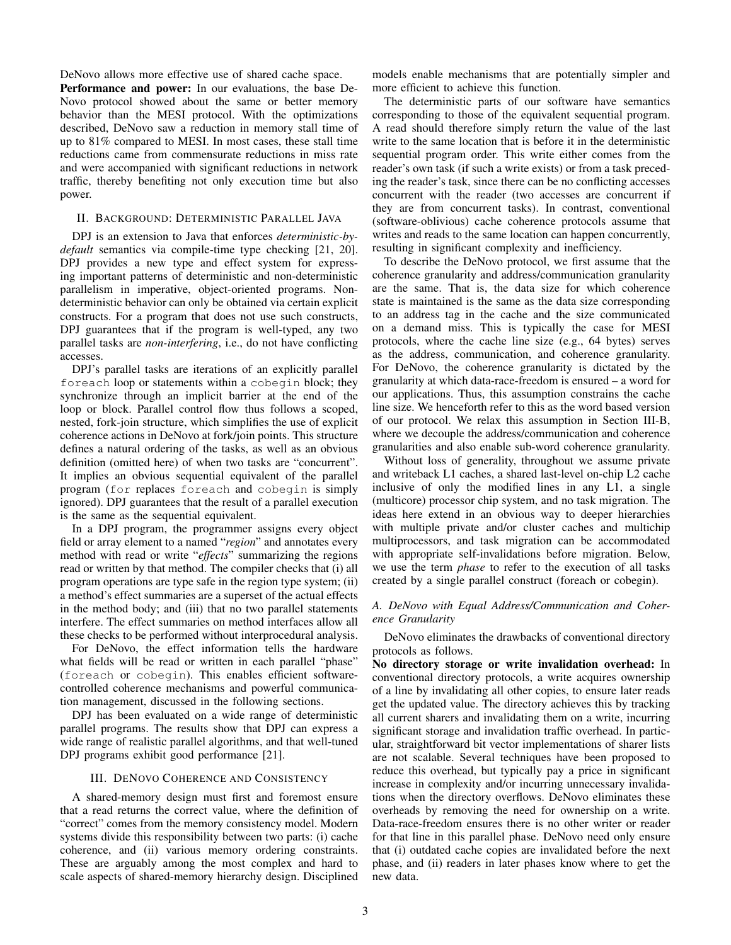DeNovo allows more effective use of shared cache space.

Performance and power: In our evaluations, the base De-Novo protocol showed about the same or better memory behavior than the MESI protocol. With the optimizations described, DeNovo saw a reduction in memory stall time of up to 81% compared to MESI. In most cases, these stall time reductions came from commensurate reductions in miss rate and were accompanied with significant reductions in network traffic, thereby benefiting not only execution time but also power.

## II. BACKGROUND: DETERMINISTIC PARALLEL JAVA

DPJ is an extension to Java that enforces *deterministic-bydefault* semantics via compile-time type checking [21, 20]. DPJ provides a new type and effect system for expressing important patterns of deterministic and non-deterministic parallelism in imperative, object-oriented programs. Nondeterministic behavior can only be obtained via certain explicit constructs. For a program that does not use such constructs, DPJ guarantees that if the program is well-typed, any two parallel tasks are *non-interfering*, i.e., do not have conflicting accesses.

DPJ's parallel tasks are iterations of an explicitly parallel foreach loop or statements within a cobegin block; they synchronize through an implicit barrier at the end of the loop or block. Parallel control flow thus follows a scoped, nested, fork-join structure, which simplifies the use of explicit coherence actions in DeNovo at fork/join points. This structure defines a natural ordering of the tasks, as well as an obvious definition (omitted here) of when two tasks are "concurrent". It implies an obvious sequential equivalent of the parallel program (for replaces foreach and cobegin is simply ignored). DPJ guarantees that the result of a parallel execution is the same as the sequential equivalent.

In a DPJ program, the programmer assigns every object field or array element to a named "*region*" and annotates every method with read or write "*effects*" summarizing the regions read or written by that method. The compiler checks that (i) all program operations are type safe in the region type system; (ii) a method's effect summaries are a superset of the actual effects in the method body; and (iii) that no two parallel statements interfere. The effect summaries on method interfaces allow all these checks to be performed without interprocedural analysis.

For DeNovo, the effect information tells the hardware what fields will be read or written in each parallel "phase" (foreach or cobegin). This enables efficient softwarecontrolled coherence mechanisms and powerful communication management, discussed in the following sections.

DPJ has been evaluated on a wide range of deterministic parallel programs. The results show that DPJ can express a wide range of realistic parallel algorithms, and that well-tuned DPJ programs exhibit good performance [21].

## III. DENOVO COHERENCE AND CONSISTENCY

A shared-memory design must first and foremost ensure that a read returns the correct value, where the definition of "correct" comes from the memory consistency model. Modern systems divide this responsibility between two parts: (i) cache coherence, and (ii) various memory ordering constraints. These are arguably among the most complex and hard to scale aspects of shared-memory hierarchy design. Disciplined models enable mechanisms that are potentially simpler and more efficient to achieve this function.

The deterministic parts of our software have semantics corresponding to those of the equivalent sequential program. A read should therefore simply return the value of the last write to the same location that is before it in the deterministic sequential program order. This write either comes from the reader's own task (if such a write exists) or from a task preceding the reader's task, since there can be no conflicting accesses concurrent with the reader (two accesses are concurrent if they are from concurrent tasks). In contrast, conventional (software-oblivious) cache coherence protocols assume that writes and reads to the same location can happen concurrently, resulting in significant complexity and inefficiency.

To describe the DeNovo protocol, we first assume that the coherence granularity and address/communication granularity are the same. That is, the data size for which coherence state is maintained is the same as the data size corresponding to an address tag in the cache and the size communicated on a demand miss. This is typically the case for MESI protocols, where the cache line size (e.g., 64 bytes) serves as the address, communication, and coherence granularity. For DeNovo, the coherence granularity is dictated by the granularity at which data-race-freedom is ensured – a word for our applications. Thus, this assumption constrains the cache line size. We henceforth refer to this as the word based version of our protocol. We relax this assumption in Section III-B, where we decouple the address/communication and coherence granularities and also enable sub-word coherence granularity.

Without loss of generality, throughout we assume private and writeback L1 caches, a shared last-level on-chip L2 cache inclusive of only the modified lines in any L1, a single (multicore) processor chip system, and no task migration. The ideas here extend in an obvious way to deeper hierarchies with multiple private and/or cluster caches and multichip multiprocessors, and task migration can be accommodated with appropriate self-invalidations before migration. Below, we use the term *phase* to refer to the execution of all tasks created by a single parallel construct (foreach or cobegin).

## *A. DeNovo with Equal Address/Communication and Coherence Granularity*

DeNovo eliminates the drawbacks of conventional directory protocols as follows.

No directory storage or write invalidation overhead: In conventional directory protocols, a write acquires ownership of a line by invalidating all other copies, to ensure later reads get the updated value. The directory achieves this by tracking all current sharers and invalidating them on a write, incurring significant storage and invalidation traffic overhead. In particular, straightforward bit vector implementations of sharer lists are not scalable. Several techniques have been proposed to reduce this overhead, but typically pay a price in significant increase in complexity and/or incurring unnecessary invalidations when the directory overflows. DeNovo eliminates these overheads by removing the need for ownership on a write. Data-race-freedom ensures there is no other writer or reader for that line in this parallel phase. DeNovo need only ensure that (i) outdated cache copies are invalidated before the next phase, and (ii) readers in later phases know where to get the new data.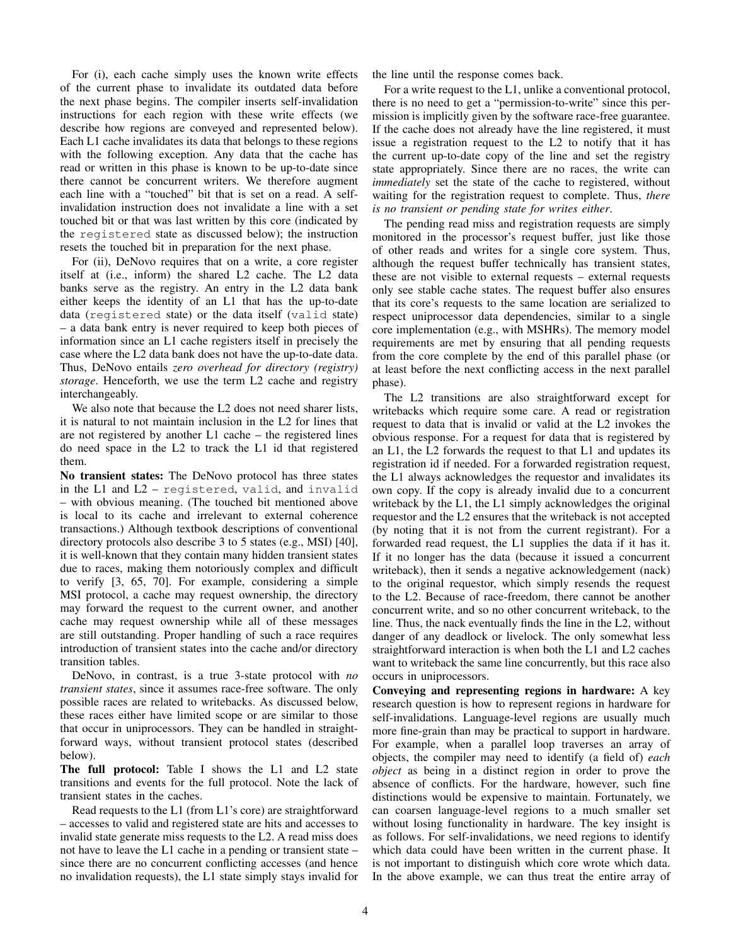For (i), each cache simply uses the known write effects of the current phase to invalidate its outdated data before the next phase begins. The compiler inserts self-invalidation instructions for each region with these write effects (we describe how regions are conveyed and represented below). Each L1 cache invalidates its data that belongs to these regions with the following exception. Any data that the cache has read or written in this phase is known to be up-to-date since there cannot be concurrent writers. We therefore augment each line with a "touched" bit that is set on a read. A selfinvalidation instruction does not invalidate a line with a set touched bit or that was last written by this core (indicated by the registered state as discussed below); the instruction resets the touched bit in preparation for the next phase.

For (ii), DeNovo requires that on a write, a core register itself at (i.e., inform) the shared L2 cache. The L2 data banks serve as the registry. An entry in the L2 data bank either keeps the identity of an L1 that has the up-to-date data (registered state) or the data itself (valid state) – a data bank entry is never required to keep both pieces of information since an L1 cache registers itself in precisely the case where the L2 data bank does not have the up-to-date data. Thus, DeNovo entails *zero overhead for directory (registry) storage*. Henceforth, we use the term L2 cache and registry interchangeably.

We also note that because the L2 does not need sharer lists, it is natural to not maintain inclusion in the L2 for lines that are not registered by another L1 cache – the registered lines do need space in the L2 to track the L1 id that registered them.

No transient states: The DeNovo protocol has three states in the L1 and L2 – registered, valid, and invalid – with obvious meaning. (The touched bit mentioned above is local to its cache and irrelevant to external coherence transactions.) Although textbook descriptions of conventional directory protocols also describe 3 to 5 states (e.g., MSI) [40], it is well-known that they contain many hidden transient states due to races, making them notoriously complex and difficult to verify [3, 65, 70]. For example, considering a simple MSI protocol, a cache may request ownership, the directory may forward the request to the current owner, and another cache may request ownership while all of these messages are still outstanding. Proper handling of such a race requires introduction of transient states into the cache and/or directory transition tables.

DeNovo, in contrast, is a true 3-state protocol with *no transient states*, since it assumes race-free software. The only possible races are related to writebacks. As discussed below, these races either have limited scope or are similar to those that occur in uniprocessors. They can be handled in straightforward ways, without transient protocol states (described below).

The full protocol: Table I shows the L1 and L2 state transitions and events for the full protocol. Note the lack of transient states in the caches.

Read requests to the L1 (from L1's core) are straightforward – accesses to valid and registered state are hits and accesses to invalid state generate miss requests to the L2. A read miss does not have to leave the L1 cache in a pending or transient state – since there are no concurrent conflicting accesses (and hence no invalidation requests), the L1 state simply stays invalid for the line until the response comes back.

For a write request to the L1, unlike a conventional protocol, there is no need to get a "permission-to-write" since this permission is implicitly given by the software race-free guarantee. If the cache does not already have the line registered, it must issue a registration request to the L2 to notify that it has the current up-to-date copy of the line and set the registry state appropriately. Since there are no races, the write can *immediately* set the state of the cache to registered, without waiting for the registration request to complete. Thus, *there is no transient or pending state for writes either*.

The pending read miss and registration requests are simply monitored in the processor's request buffer, just like those of other reads and writes for a single core system. Thus, although the request buffer technically has transient states, these are not visible to external requests – external requests only see stable cache states. The request buffer also ensures that its core's requests to the same location are serialized to respect uniprocessor data dependencies, similar to a single core implementation (e.g., with MSHRs). The memory model requirements are met by ensuring that all pending requests from the core complete by the end of this parallel phase (or at least before the next conflicting access in the next parallel phase).

The L2 transitions are also straightforward except for writebacks which require some care. A read or registration request to data that is invalid or valid at the L2 invokes the obvious response. For a request for data that is registered by an L1, the L2 forwards the request to that L1 and updates its registration id if needed. For a forwarded registration request, the L1 always acknowledges the requestor and invalidates its own copy. If the copy is already invalid due to a concurrent writeback by the L1, the L1 simply acknowledges the original requestor and the L2 ensures that the writeback is not accepted (by noting that it is not from the current registrant). For a forwarded read request, the L1 supplies the data if it has it. If it no longer has the data (because it issued a concurrent writeback), then it sends a negative acknowledgement (nack) to the original requestor, which simply resends the request to the L2. Because of race-freedom, there cannot be another concurrent write, and so no other concurrent writeback, to the line. Thus, the nack eventually finds the line in the L2, without danger of any deadlock or livelock. The only somewhat less straightforward interaction is when both the L1 and L2 caches want to writeback the same line concurrently, but this race also occurs in uniprocessors.

Conveying and representing regions in hardware: A key research question is how to represent regions in hardware for self-invalidations. Language-level regions are usually much more fine-grain than may be practical to support in hardware. For example, when a parallel loop traverses an array of objects, the compiler may need to identify (a field of) *each object* as being in a distinct region in order to prove the absence of conflicts. For the hardware, however, such fine distinctions would be expensive to maintain. Fortunately, we can coarsen language-level regions to a much smaller set without losing functionality in hardware. The key insight is as follows. For self-invalidations, we need regions to identify which data could have been written in the current phase. It is not important to distinguish which core wrote which data. In the above example, we can thus treat the entire array of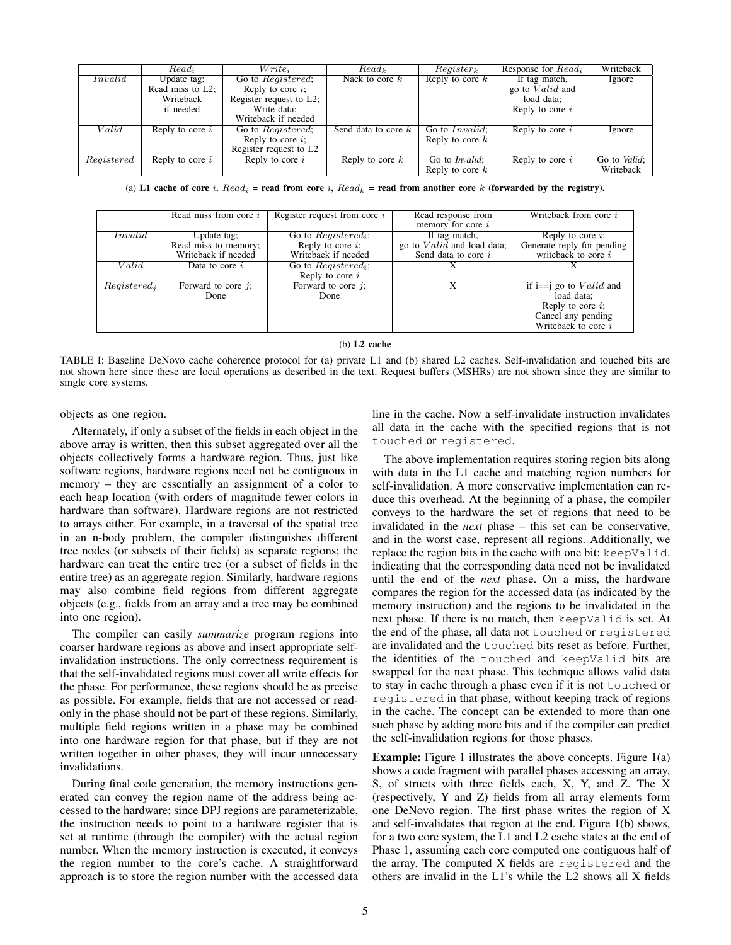|            | $Read_i$                      | $Write_i$               | $Read_k$              | $Requester_k$          | Response for $Read_i$ | Writeback            |
|------------|-------------------------------|-------------------------|-----------------------|------------------------|-----------------------|----------------------|
| Invalid    | Update tag;                   | Go to Registered;       | Nack to core $k$      | Reply to core $k$      | If tag match,         | Ignore               |
|            | Read miss to L <sub>2</sub> ; | Reply to core $i$ ;     |                       |                        | go to $Valid$ and     |                      |
|            | Writeback                     | Register request to L2; |                       |                        | load data:            |                      |
|            | if needed                     | Write data;             |                       |                        | Reply to core $i$     |                      |
|            |                               | Writeback if needed     |                       |                        |                       |                      |
| Valid      | Reply to core $i$             | Go to Registered;       | Send data to core $k$ | Go to <i>Invalid</i> ; | Reply to core $i$     | Ignore               |
|            |                               | Reply to core $i$ ;     |                       | Reply to core $k$      |                       |                      |
|            |                               | Register request to L2  |                       |                        |                       |                      |
| Registered | Reply to core $i$             | Reply to core $i$       | Reply to core $k$     | Go to <i>Invalid</i> : | Reply to core $i$     | Go to <i>Valid</i> ; |
|            |                               |                         |                       | Reply to core $k$      |                       | Writeback            |

(a) L1 cache of core i.  $Read_i$  = read from core i,  $Read_k$  = read from another core k (forwarded by the registry).

|              | Read miss from core i | Register request from core $i$ | Read response from           | Writeback from core i      |
|--------------|-----------------------|--------------------------------|------------------------------|----------------------------|
|              |                       |                                | memory for core i            |                            |
| In valid     | Update tag;           | Go to $Required_i$ ;           | If tag match,                | Reply to core $i$ ;        |
|              | Read miss to memory;  | Reply to core $i$ ;            | go to $Valid$ and load data; | Generate reply for pending |
|              | Writeback if needed   | Writeback if needed            | Send data to core $i$        | writeback to core $i$      |
| Valid        | Data to core $i$      | Go to $Required_i$ ;           |                              |                            |
|              |                       | Reply to core $i$              |                              |                            |
| $Required_i$ | Forward to core $j$ ; | Forward to core $j$ ;          |                              | if i==i go to $Valid$ and  |
|              | Done                  | Done                           |                              | load data:                 |
|              |                       |                                |                              | Reply to core $i$ ;        |
|              |                       |                                |                              | Cancel any pending         |
|              |                       |                                |                              | Writeback to core i        |

#### (b) L2 cache

TABLE I: Baseline DeNovo cache coherence protocol for (a) private L1 and (b) shared L2 caches. Self-invalidation and touched bits are not shown here since these are local operations as described in the text. Request buffers (MSHRs) are not shown since they are similar to single core systems.

objects as one region.

Alternately, if only a subset of the fields in each object in the above array is written, then this subset aggregated over all the objects collectively forms a hardware region. Thus, just like software regions, hardware regions need not be contiguous in memory – they are essentially an assignment of a color to each heap location (with orders of magnitude fewer colors in hardware than software). Hardware regions are not restricted to arrays either. For example, in a traversal of the spatial tree in an n-body problem, the compiler distinguishes different tree nodes (or subsets of their fields) as separate regions; the hardware can treat the entire tree (or a subset of fields in the entire tree) as an aggregate region. Similarly, hardware regions may also combine field regions from different aggregate objects (e.g., fields from an array and a tree may be combined into one region).

The compiler can easily *summarize* program regions into coarser hardware regions as above and insert appropriate selfinvalidation instructions. The only correctness requirement is that the self-invalidated regions must cover all write effects for the phase. For performance, these regions should be as precise as possible. For example, fields that are not accessed or readonly in the phase should not be part of these regions. Similarly, multiple field regions written in a phase may be combined into one hardware region for that phase, but if they are not written together in other phases, they will incur unnecessary invalidations.

During final code generation, the memory instructions generated can convey the region name of the address being accessed to the hardware; since DPJ regions are parameterizable, the instruction needs to point to a hardware register that is set at runtime (through the compiler) with the actual region number. When the memory instruction is executed, it conveys the region number to the core's cache. A straightforward approach is to store the region number with the accessed data line in the cache. Now a self-invalidate instruction invalidates all data in the cache with the specified regions that is not touched or registered.

The above implementation requires storing region bits along with data in the L1 cache and matching region numbers for self-invalidation. A more conservative implementation can reduce this overhead. At the beginning of a phase, the compiler conveys to the hardware the set of regions that need to be invalidated in the *next* phase – this set can be conservative, and in the worst case, represent all regions. Additionally, we replace the region bits in the cache with one bit: keepValid. indicating that the corresponding data need not be invalidated until the end of the *next* phase. On a miss, the hardware compares the region for the accessed data (as indicated by the memory instruction) and the regions to be invalidated in the next phase. If there is no match, then keepValid is set. At the end of the phase, all data not touched or registered are invalidated and the touched bits reset as before. Further, the identities of the touched and keepValid bits are swapped for the next phase. This technique allows valid data to stay in cache through a phase even if it is not touched or registered in that phase, without keeping track of regions in the cache. The concept can be extended to more than one such phase by adding more bits and if the compiler can predict the self-invalidation regions for those phases.

Example: Figure 1 illustrates the above concepts. Figure 1(a) shows a code fragment with parallel phases accessing an array, S, of structs with three fields each, X, Y, and Z. The X (respectively, Y and Z) fields from all array elements form one DeNovo region. The first phase writes the region of X and self-invalidates that region at the end. Figure 1(b) shows, for a two core system, the L1 and L2 cache states at the end of Phase 1, assuming each core computed one contiguous half of the array. The computed X fields are registered and the others are invalid in the L1's while the L2 shows all X fields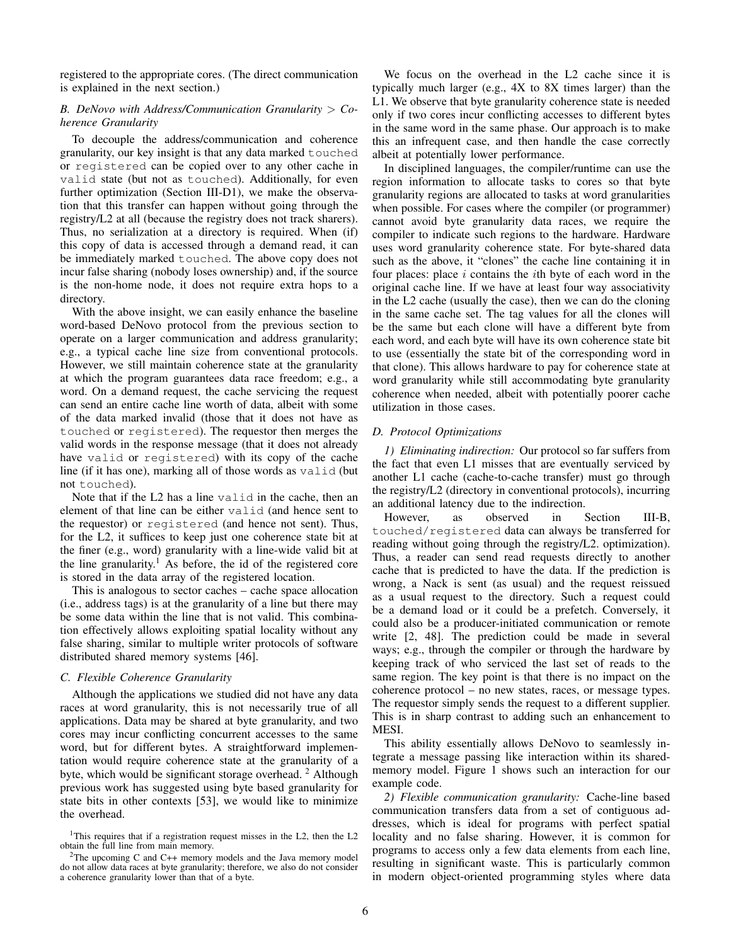registered to the appropriate cores. (The direct communication is explained in the next section.)

## *B. DeNovo with Address/Communication Granularity* > *Coherence Granularity*

To decouple the address/communication and coherence granularity, our key insight is that any data marked touched or registered can be copied over to any other cache in valid state (but not as touched). Additionally, for even further optimization (Section III-D1), we make the observation that this transfer can happen without going through the registry/L2 at all (because the registry does not track sharers). Thus, no serialization at a directory is required. When (if) this copy of data is accessed through a demand read, it can be immediately marked touched. The above copy does not incur false sharing (nobody loses ownership) and, if the source is the non-home node, it does not require extra hops to a directory.

With the above insight, we can easily enhance the baseline word-based DeNovo protocol from the previous section to operate on a larger communication and address granularity; e.g., a typical cache line size from conventional protocols. However, we still maintain coherence state at the granularity at which the program guarantees data race freedom; e.g., a word. On a demand request, the cache servicing the request can send an entire cache line worth of data, albeit with some of the data marked invalid (those that it does not have as touched or registered). The requestor then merges the valid words in the response message (that it does not already have valid or registered) with its copy of the cache line (if it has one), marking all of those words as valid (but not touched).

Note that if the L2 has a line valid in the cache, then an element of that line can be either valid (and hence sent to the requestor) or registered (and hence not sent). Thus, for the L2, it suffices to keep just one coherence state bit at the finer (e.g., word) granularity with a line-wide valid bit at the line granularity.<sup>1</sup> As before, the id of the registered core is stored in the data array of the registered location.

This is analogous to sector caches – cache space allocation (i.e., address tags) is at the granularity of a line but there may be some data within the line that is not valid. This combination effectively allows exploiting spatial locality without any false sharing, similar to multiple writer protocols of software distributed shared memory systems [46].

#### *C. Flexible Coherence Granularity*

Although the applications we studied did not have any data races at word granularity, this is not necessarily true of all applications. Data may be shared at byte granularity, and two cores may incur conflicting concurrent accesses to the same word, but for different bytes. A straightforward implementation would require coherence state at the granularity of a byte, which would be significant storage overhead. <sup>2</sup> Although previous work has suggested using byte based granularity for state bits in other contexts [53], we would like to minimize the overhead.

We focus on the overhead in the L2 cache since it is typically much larger (e.g., 4X to 8X times larger) than the L1. We observe that byte granularity coherence state is needed only if two cores incur conflicting accesses to different bytes in the same word in the same phase. Our approach is to make this an infrequent case, and then handle the case correctly albeit at potentially lower performance.

In disciplined languages, the compiler/runtime can use the region information to allocate tasks to cores so that byte granularity regions are allocated to tasks at word granularities when possible. For cases where the compiler (or programmer) cannot avoid byte granularity data races, we require the compiler to indicate such regions to the hardware. Hardware uses word granularity coherence state. For byte-shared data such as the above, it "clones" the cache line containing it in four places: place  $i$  contains the  $i$ th byte of each word in the original cache line. If we have at least four way associativity in the L2 cache (usually the case), then we can do the cloning in the same cache set. The tag values for all the clones will be the same but each clone will have a different byte from each word, and each byte will have its own coherence state bit to use (essentially the state bit of the corresponding word in that clone). This allows hardware to pay for coherence state at word granularity while still accommodating byte granularity coherence when needed, albeit with potentially poorer cache utilization in those cases.

## *D. Protocol Optimizations*

*1) Eliminating indirection:* Our protocol so far suffers from the fact that even L1 misses that are eventually serviced by another L1 cache (cache-to-cache transfer) must go through the registry/L2 (directory in conventional protocols), incurring an additional latency due to the indirection.

However, as observed in Section III-B, touched/registered data can always be transferred for reading without going through the registry/L2. optimization). Thus, a reader can send read requests directly to another cache that is predicted to have the data. If the prediction is wrong, a Nack is sent (as usual) and the request reissued as a usual request to the directory. Such a request could be a demand load or it could be a prefetch. Conversely, it could also be a producer-initiated communication or remote write [2, 48]. The prediction could be made in several ways; e.g., through the compiler or through the hardware by keeping track of who serviced the last set of reads to the same region. The key point is that there is no impact on the coherence protocol – no new states, races, or message types. The requestor simply sends the request to a different supplier. This is in sharp contrast to adding such an enhancement to MESI.

This ability essentially allows DeNovo to seamlessly integrate a message passing like interaction within its sharedmemory model. Figure 1 shows such an interaction for our example code.

*2) Flexible communication granularity:* Cache-line based communication transfers data from a set of contiguous addresses, which is ideal for programs with perfect spatial locality and no false sharing. However, it is common for programs to access only a few data elements from each line, resulting in significant waste. This is particularly common in modern object-oriented programming styles where data

<sup>&</sup>lt;sup>1</sup>This requires that if a registration request misses in the L2, then the L2 obtain the full line from main memory.

<sup>&</sup>lt;sup>2</sup>The upcoming C and C++ memory models and the Java memory model do not allow data races at byte granularity; therefore, we also do not consider a coherence granularity lower than that of a byte.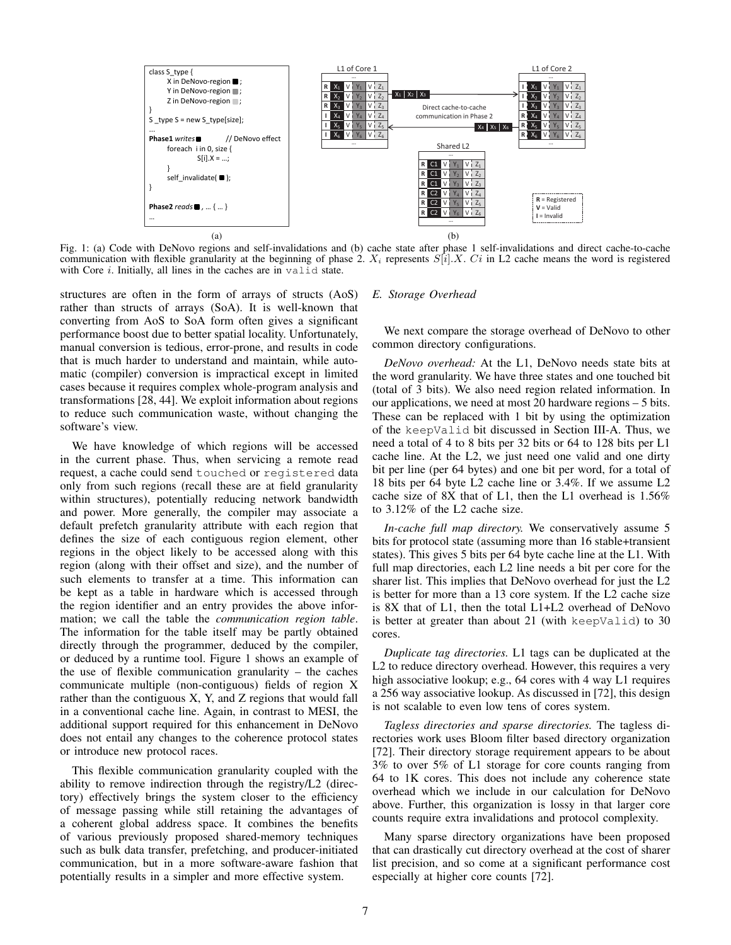

Fig. 1: (a) Code with DeNovo regions and self-invalidations and (b) cache state after phase 1 self-invalidations and direct cache-to-cache communication with flexible granularity at the beginning of phase 2.  $X_i$  represents  $S[i].X$ .  $Ci$  in L2 cache means the word is registered with Core  $i$ . Initially, all lines in the caches are in valid state.

structures are often in the form of arrays of structs (AoS) rather than structs of arrays (SoA). It is well-known that converting from AoS to SoA form often gives a significant performance boost due to better spatial locality. Unfortunately, manual conversion is tedious, error-prone, and results in code that is much harder to understand and maintain, while automatic (compiler) conversion is impractical except in limited cases because it requires complex whole-program analysis and transformations [28, 44]. We exploit information about regions to reduce such communication waste, without changing the software's view.

We have knowledge of which regions will be accessed in the current phase. Thus, when servicing a remote read request, a cache could send touched or registered data only from such regions (recall these are at field granularity within structures), potentially reducing network bandwidth and power. More generally, the compiler may associate a default prefetch granularity attribute with each region that defines the size of each contiguous region element, other regions in the object likely to be accessed along with this region (along with their offset and size), and the number of such elements to transfer at a time. This information can be kept as a table in hardware which is accessed through the region identifier and an entry provides the above information; we call the table the *communication region table*. The information for the table itself may be partly obtained directly through the programmer, deduced by the compiler, or deduced by a runtime tool. Figure 1 shows an example of the use of flexible communication granularity – the caches communicate multiple (non-contiguous) fields of region X rather than the contiguous X, Y, and Z regions that would fall in a conventional cache line. Again, in contrast to MESI, the additional support required for this enhancement in DeNovo does not entail any changes to the coherence protocol states or introduce new protocol races.

This flexible communication granularity coupled with the ability to remove indirection through the registry/L2 (directory) effectively brings the system closer to the efficiency of message passing while still retaining the advantages of a coherent global address space. It combines the benefits of various previously proposed shared-memory techniques such as bulk data transfer, prefetching, and producer-initiated communication, but in a more software-aware fashion that potentially results in a simpler and more effective system.

#### *E. Storage Overhead*

We next compare the storage overhead of DeNovo to other common directory configurations.

*DeNovo overhead:* At the L1, DeNovo needs state bits at the word granularity. We have three states and one touched bit (total of 3 bits). We also need region related information. In our applications, we need at most 20 hardware regions – 5 bits. These can be replaced with 1 bit by using the optimization of the keepValid bit discussed in Section III-A. Thus, we need a total of 4 to 8 bits per 32 bits or 64 to 128 bits per L1 cache line. At the L2, we just need one valid and one dirty bit per line (per 64 bytes) and one bit per word, for a total of 18 bits per 64 byte L2 cache line or 3.4%. If we assume L2 cache size of 8X that of L1, then the L1 overhead is 1.56% to 3.12% of the L2 cache size.

*In-cache full map directory.* We conservatively assume 5 bits for protocol state (assuming more than 16 stable+transient states). This gives 5 bits per 64 byte cache line at the L1. With full map directories, each L2 line needs a bit per core for the sharer list. This implies that DeNovo overhead for just the L2 is better for more than a 13 core system. If the L2 cache size is 8X that of L1, then the total L1+L2 overhead of DeNovo is better at greater than about 21 (with keepValid) to 30 cores.

*Duplicate tag directories.* L1 tags can be duplicated at the L2 to reduce directory overhead. However, this requires a very high associative lookup; e.g., 64 cores with 4 way L1 requires a 256 way associative lookup. As discussed in [72], this design is not scalable to even low tens of cores system.

*Tagless directories and sparse directories.* The tagless directories work uses Bloom filter based directory organization [72]. Their directory storage requirement appears to be about 3% to over 5% of L1 storage for core counts ranging from 64 to 1K cores. This does not include any coherence state overhead which we include in our calculation for DeNovo above. Further, this organization is lossy in that larger core counts require extra invalidations and protocol complexity.

Many sparse directory organizations have been proposed that can drastically cut directory overhead at the cost of sharer list precision, and so come at a significant performance cost especially at higher core counts [72].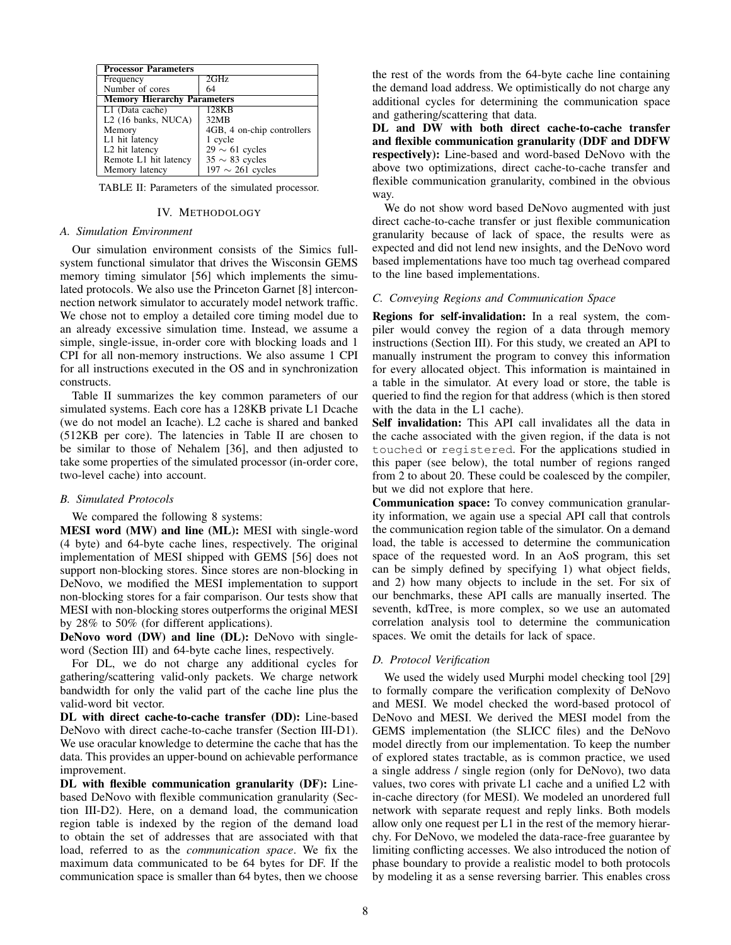| <b>Processor Parameters</b>        |                            |  |  |  |
|------------------------------------|----------------------------|--|--|--|
| Frequency                          | 2GHz                       |  |  |  |
| Number of cores                    | 64                         |  |  |  |
| <b>Memory Hierarchy Parameters</b> |                            |  |  |  |
| $L1$ (Data cache)                  | 128KB                      |  |  |  |
| L <sub>2</sub> (16 banks, NUCA)    | 32MB                       |  |  |  |
| Memory                             | 4GB, 4 on-chip controllers |  |  |  |
| L1 hit latency                     | 1 cycle                    |  |  |  |
| L <sub>2</sub> hit latency         | $29 \sim 61$ cycles        |  |  |  |
| Remote L1 hit latency              | $35 \sim 83$ cycles        |  |  |  |
| Memory latency                     | $197 \sim 261$ cycles      |  |  |  |

TABLE II: Parameters of the simulated processor.

## IV. METHODOLOGY

## *A. Simulation Environment*

Our simulation environment consists of the Simics fullsystem functional simulator that drives the Wisconsin GEMS memory timing simulator [56] which implements the simulated protocols. We also use the Princeton Garnet [8] interconnection network simulator to accurately model network traffic. We chose not to employ a detailed core timing model due to an already excessive simulation time. Instead, we assume a simple, single-issue, in-order core with blocking loads and 1 CPI for all non-memory instructions. We also assume 1 CPI for all instructions executed in the OS and in synchronization constructs.

Table II summarizes the key common parameters of our simulated systems. Each core has a 128KB private L1 Dcache (we do not model an Icache). L2 cache is shared and banked (512KB per core). The latencies in Table II are chosen to be similar to those of Nehalem [36], and then adjusted to take some properties of the simulated processor (in-order core, two-level cache) into account.

#### *B. Simulated Protocols*

We compared the following 8 systems:

MESI word (MW) and line (ML): MESI with single-word (4 byte) and 64-byte cache lines, respectively. The original implementation of MESI shipped with GEMS [56] does not support non-blocking stores. Since stores are non-blocking in DeNovo, we modified the MESI implementation to support non-blocking stores for a fair comparison. Our tests show that MESI with non-blocking stores outperforms the original MESI by 28% to 50% (for different applications).

DeNovo word (DW) and line (DL): DeNovo with singleword (Section III) and 64-byte cache lines, respectively.

For DL, we do not charge any additional cycles for gathering/scattering valid-only packets. We charge network bandwidth for only the valid part of the cache line plus the valid-word bit vector.

DL with direct cache-to-cache transfer (DD): Line-based DeNovo with direct cache-to-cache transfer (Section III-D1). We use oracular knowledge to determine the cache that has the data. This provides an upper-bound on achievable performance improvement.

DL with flexible communication granularity (DF): Linebased DeNovo with flexible communication granularity (Section III-D2). Here, on a demand load, the communication region table is indexed by the region of the demand load to obtain the set of addresses that are associated with that load, referred to as the *communication space*. We fix the maximum data communicated to be 64 bytes for DF. If the communication space is smaller than 64 bytes, then we choose

the rest of the words from the 64-byte cache line containing the demand load address. We optimistically do not charge any additional cycles for determining the communication space and gathering/scattering that data.

DL and DW with both direct cache-to-cache transfer and flexible communication granularity (DDF and DDFW respectively): Line-based and word-based DeNovo with the above two optimizations, direct cache-to-cache transfer and flexible communication granularity, combined in the obvious way.

We do not show word based DeNovo augmented with just direct cache-to-cache transfer or just flexible communication granularity because of lack of space, the results were as expected and did not lend new insights, and the DeNovo word based implementations have too much tag overhead compared to the line based implementations.

#### *C. Conveying Regions and Communication Space*

Regions for self-invalidation: In a real system, the compiler would convey the region of a data through memory instructions (Section III). For this study, we created an API to manually instrument the program to convey this information for every allocated object. This information is maintained in a table in the simulator. At every load or store, the table is queried to find the region for that address (which is then stored with the data in the L1 cache).

Self invalidation: This API call invalidates all the data in the cache associated with the given region, if the data is not touched or registered. For the applications studied in this paper (see below), the total number of regions ranged from 2 to about 20. These could be coalesced by the compiler, but we did not explore that here.

Communication space: To convey communication granularity information, we again use a special API call that controls the communication region table of the simulator. On a demand load, the table is accessed to determine the communication space of the requested word. In an AoS program, this set can be simply defined by specifying 1) what object fields, and 2) how many objects to include in the set. For six of our benchmarks, these API calls are manually inserted. The seventh, kdTree, is more complex, so we use an automated correlation analysis tool to determine the communication spaces. We omit the details for lack of space.

## *D. Protocol Verification*

We used the widely used Murphi model checking tool [29] to formally compare the verification complexity of DeNovo and MESI. We model checked the word-based protocol of DeNovo and MESI. We derived the MESI model from the GEMS implementation (the SLICC files) and the DeNovo model directly from our implementation. To keep the number of explored states tractable, as is common practice, we used a single address / single region (only for DeNovo), two data values, two cores with private L1 cache and a unified L2 with in-cache directory (for MESI). We modeled an unordered full network with separate request and reply links. Both models allow only one request per L1 in the rest of the memory hierarchy. For DeNovo, we modeled the data-race-free guarantee by limiting conflicting accesses. We also introduced the notion of phase boundary to provide a realistic model to both protocols by modeling it as a sense reversing barrier. This enables cross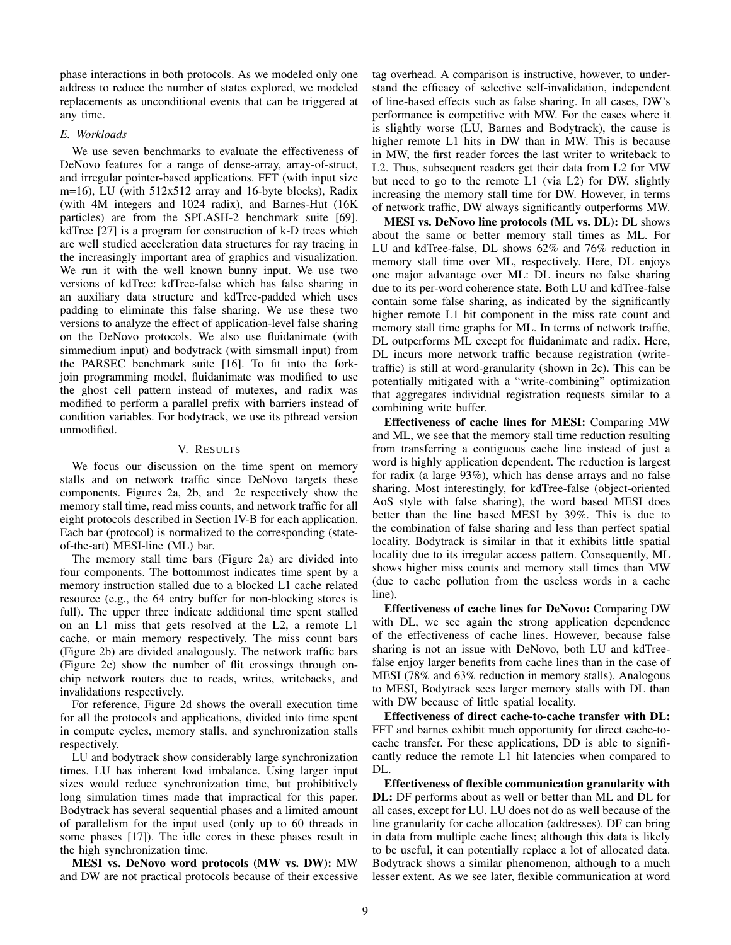phase interactions in both protocols. As we modeled only one address to reduce the number of states explored, we modeled replacements as unconditional events that can be triggered at any time.

## *E. Workloads*

We use seven benchmarks to evaluate the effectiveness of DeNovo features for a range of dense-array, array-of-struct, and irregular pointer-based applications. FFT (with input size m=16), LU (with 512x512 array and 16-byte blocks), Radix (with 4M integers and 1024 radix), and Barnes-Hut (16K particles) are from the SPLASH-2 benchmark suite [69]. kdTree [27] is a program for construction of k-D trees which are well studied acceleration data structures for ray tracing in the increasingly important area of graphics and visualization. We run it with the well known bunny input. We use two versions of kdTree: kdTree-false which has false sharing in an auxiliary data structure and kdTree-padded which uses padding to eliminate this false sharing. We use these two versions to analyze the effect of application-level false sharing on the DeNovo protocols. We also use fluidanimate (with simmedium input) and bodytrack (with simsmall input) from the PARSEC benchmark suite [16]. To fit into the forkjoin programming model, fluidanimate was modified to use the ghost cell pattern instead of mutexes, and radix was modified to perform a parallel prefix with barriers instead of condition variables. For bodytrack, we use its pthread version unmodified.

## V. RESULTS

We focus our discussion on the time spent on memory stalls and on network traffic since DeNovo targets these components. Figures 2a, 2b, and 2c respectively show the memory stall time, read miss counts, and network traffic for all eight protocols described in Section IV-B for each application. Each bar (protocol) is normalized to the corresponding (stateof-the-art) MESI-line (ML) bar.

The memory stall time bars (Figure 2a) are divided into four components. The bottommost indicates time spent by a memory instruction stalled due to a blocked L1 cache related resource (e.g., the 64 entry buffer for non-blocking stores is full). The upper three indicate additional time spent stalled on an L1 miss that gets resolved at the L2, a remote L1 cache, or main memory respectively. The miss count bars (Figure 2b) are divided analogously. The network traffic bars (Figure 2c) show the number of flit crossings through onchip network routers due to reads, writes, writebacks, and invalidations respectively.

For reference, Figure 2d shows the overall execution time for all the protocols and applications, divided into time spent in compute cycles, memory stalls, and synchronization stalls respectively.

LU and bodytrack show considerably large synchronization times. LU has inherent load imbalance. Using larger input sizes would reduce synchronization time, but prohibitively long simulation times made that impractical for this paper. Bodytrack has several sequential phases and a limited amount of parallelism for the input used (only up to 60 threads in some phases [17]). The idle cores in these phases result in the high synchronization time.

MESI vs. DeNovo word protocols (MW vs. DW): MW and DW are not practical protocols because of their excessive

tag overhead. A comparison is instructive, however, to understand the efficacy of selective self-invalidation, independent of line-based effects such as false sharing. In all cases, DW's performance is competitive with MW. For the cases where it is slightly worse (LU, Barnes and Bodytrack), the cause is higher remote L1 hits in DW than in MW. This is because in MW, the first reader forces the last writer to writeback to L2. Thus, subsequent readers get their data from L2 for MW but need to go to the remote L1 (via L2) for DW, slightly increasing the memory stall time for DW. However, in terms of network traffic, DW always significantly outperforms MW.

MESI vs. DeNovo line protocols (ML vs. DL): DL shows about the same or better memory stall times as ML. For LU and kdTree-false, DL shows 62% and 76% reduction in memory stall time over ML, respectively. Here, DL enjoys one major advantage over ML: DL incurs no false sharing due to its per-word coherence state. Both LU and kdTree-false contain some false sharing, as indicated by the significantly higher remote L1 hit component in the miss rate count and memory stall time graphs for ML. In terms of network traffic, DL outperforms ML except for fluidanimate and radix. Here, DL incurs more network traffic because registration (writetraffic) is still at word-granularity (shown in 2c). This can be potentially mitigated with a "write-combining" optimization that aggregates individual registration requests similar to a combining write buffer.

Effectiveness of cache lines for MESI: Comparing MW and ML, we see that the memory stall time reduction resulting from transferring a contiguous cache line instead of just a word is highly application dependent. The reduction is largest for radix (a large 93%), which has dense arrays and no false sharing. Most interestingly, for kdTree-false (object-oriented AoS style with false sharing), the word based MESI does better than the line based MESI by 39%. This is due to the combination of false sharing and less than perfect spatial locality. Bodytrack is similar in that it exhibits little spatial locality due to its irregular access pattern. Consequently, ML shows higher miss counts and memory stall times than MW (due to cache pollution from the useless words in a cache line).

Effectiveness of cache lines for DeNovo: Comparing DW with DL, we see again the strong application dependence of the effectiveness of cache lines. However, because false sharing is not an issue with DeNovo, both LU and kdTreefalse enjoy larger benefits from cache lines than in the case of MESI (78% and 63% reduction in memory stalls). Analogous to MESI, Bodytrack sees larger memory stalls with DL than with DW because of little spatial locality.

Effectiveness of direct cache-to-cache transfer with DL: FFT and barnes exhibit much opportunity for direct cache-tocache transfer. For these applications, DD is able to significantly reduce the remote L1 hit latencies when compared to DL.

Effectiveness of flexible communication granularity with DL: DF performs about as well or better than ML and DL for all cases, except for LU. LU does not do as well because of the line granularity for cache allocation (addresses). DF can bring in data from multiple cache lines; although this data is likely to be useful, it can potentially replace a lot of allocated data. Bodytrack shows a similar phenomenon, although to a much lesser extent. As we see later, flexible communication at word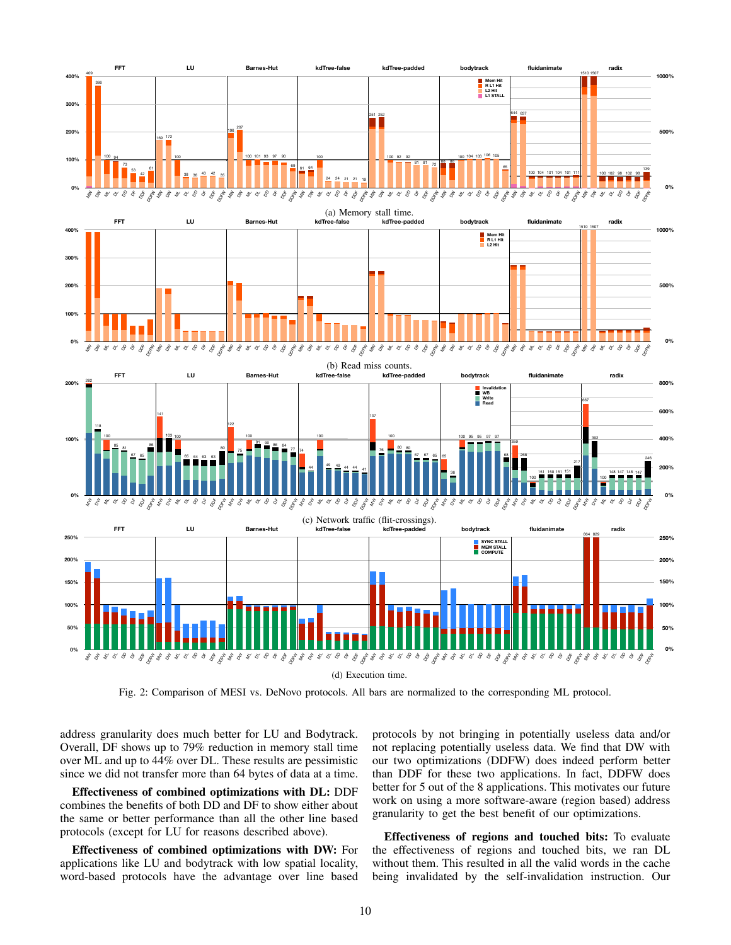

Fig. 2: Comparison of MESI vs. DeNovo protocols. All bars are normalized to the corresponding ML protocol.

address granularity does much better for LU and Bodytrack. Overall, DF shows up to 79% reduction in memory stall time over ML and up to 44% over DL. These results are pessimistic since we did not transfer more than 64 bytes of data at a time.

Effectiveness of combined optimizations with DL: DDF combines the benefits of both DD and DF to show either about the same or better performance than all the other line based protocols (except for LU for reasons described above).

Effectiveness of combined optimizations with DW: For applications like LU and bodytrack with low spatial locality, word-based protocols have the advantage over line based protocols by not bringing in potentially useless data and/or not replacing potentially useless data. We find that DW with our two optimizations (DDFW) does indeed perform better than DDF for these two applications. In fact, DDFW does better for 5 out of the 8 applications. This motivates our future work on using a more software-aware (region based) address granularity to get the best benefit of our optimizations.

Effectiveness of regions and touched bits: To evaluate the effectiveness of regions and touched bits, we ran DL without them. This resulted in all the valid words in the cache being invalidated by the self-invalidation instruction. Our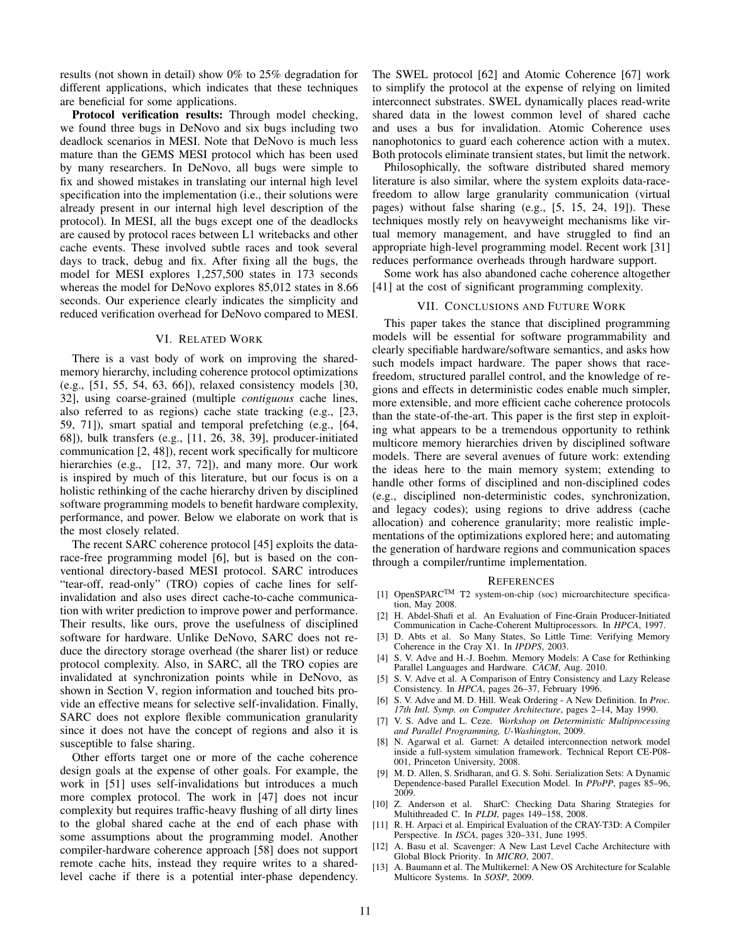results (not shown in detail) show 0% to 25% degradation for different applications, which indicates that these techniques are beneficial for some applications.

Protocol verification results: Through model checking, we found three bugs in DeNovo and six bugs including two deadlock scenarios in MESI. Note that DeNovo is much less mature than the GEMS MESI protocol which has been used by many researchers. In DeNovo, all bugs were simple to fix and showed mistakes in translating our internal high level specification into the implementation (i.e., their solutions were already present in our internal high level description of the protocol). In MESI, all the bugs except one of the deadlocks are caused by protocol races between L1 writebacks and other cache events. These involved subtle races and took several days to track, debug and fix. After fixing all the bugs, the model for MESI explores 1,257,500 states in 173 seconds whereas the model for DeNovo explores 85,012 states in 8.66 seconds. Our experience clearly indicates the simplicity and reduced verification overhead for DeNovo compared to MESI.

#### VI. RELATED WORK

There is a vast body of work on improving the sharedmemory hierarchy, including coherence protocol optimizations (e.g., [51, 55, 54, 63, 66]), relaxed consistency models [30, 32], using coarse-grained (multiple *contiguous* cache lines, also referred to as regions) cache state tracking (e.g., [23, 59, 71]), smart spatial and temporal prefetching (e.g., [64, 68]), bulk transfers (e.g., [11, 26, 38, 39], producer-initiated communication [2, 48]), recent work specifically for multicore hierarchies (e.g., [12, 37, 72]), and many more. Our work is inspired by much of this literature, but our focus is on a holistic rethinking of the cache hierarchy driven by disciplined software programming models to benefit hardware complexity, performance, and power. Below we elaborate on work that is the most closely related.

The recent SARC coherence protocol [45] exploits the datarace-free programming model [6], but is based on the conventional directory-based MESI protocol. SARC introduces "tear-off, read-only" (TRO) copies of cache lines for selfinvalidation and also uses direct cache-to-cache communication with writer prediction to improve power and performance. Their results, like ours, prove the usefulness of disciplined software for hardware. Unlike DeNovo, SARC does not reduce the directory storage overhead (the sharer list) or reduce protocol complexity. Also, in SARC, all the TRO copies are invalidated at synchronization points while in DeNovo, as shown in Section V, region information and touched bits provide an effective means for selective self-invalidation. Finally, SARC does not explore flexible communication granularity since it does not have the concept of regions and also it is susceptible to false sharing.

Other efforts target one or more of the cache coherence design goals at the expense of other goals. For example, the work in [51] uses self-invalidations but introduces a much more complex protocol. The work in [47] does not incur complexity but requires traffic-heavy flushing of all dirty lines to the global shared cache at the end of each phase with some assumptions about the programming model. Another compiler-hardware coherence approach [58] does not support remote cache hits, instead they require writes to a sharedlevel cache if there is a potential inter-phase dependency. The SWEL protocol [62] and Atomic Coherence [67] work to simplify the protocol at the expense of relying on limited interconnect substrates. SWEL dynamically places read-write shared data in the lowest common level of shared cache and uses a bus for invalidation. Atomic Coherence uses nanophotonics to guard each coherence action with a mutex. Both protocols eliminate transient states, but limit the network.

Philosophically, the software distributed shared memory literature is also similar, where the system exploits data-racefreedom to allow large granularity communication (virtual pages) without false sharing (e.g., [5, 15, 24, 19]). These techniques mostly rely on heavyweight mechanisms like virtual memory management, and have struggled to find an appropriate high-level programming model. Recent work [31] reduces performance overheads through hardware support.

Some work has also abandoned cache coherence altogether [41] at the cost of significant programming complexity.

#### VII. CONCLUSIONS AND FUTURE WORK

This paper takes the stance that disciplined programming models will be essential for software programmability and clearly specifiable hardware/software semantics, and asks how such models impact hardware. The paper shows that racefreedom, structured parallel control, and the knowledge of regions and effects in deterministic codes enable much simpler, more extensible, and more efficient cache coherence protocols than the state-of-the-art. This paper is the first step in exploiting what appears to be a tremendous opportunity to rethink multicore memory hierarchies driven by disciplined software models. There are several avenues of future work: extending the ideas here to the main memory system; extending to handle other forms of disciplined and non-disciplined codes (e.g., disciplined non-deterministic codes, synchronization, and legacy codes); using regions to drive address (cache allocation) and coherence granularity; more realistic implementations of the optimizations explored here; and automating the generation of hardware regions and communication spaces through a compiler/runtime implementation.

#### **REFERENCES**

- [1] OpenSPARCTM T2 system-on-chip (soc) microarchitecture specification, May 2008.
- [2] H. Abdel-Shafi et al. An Evaluation of Fine-Grain Producer-Initiated Communication in Cache-Coherent Multiprocessors. In *HPCA*, 1997.
- [3] D. Abts et al. So Many States, So Little Time: Verifying Memory Coherence in the Cray X1. In *IPDPS*, 2003.
- [4] S. V. Adve and H.-J. Boehm. Memory Models: A Case for Rethinking Parallel Languages and Hardware. *CACM*, Aug. 2010.
- [5] S. V. Adve et al. A Comparison of Entry Consistency and Lazy Release Consistency. In *HPCA*, pages 26–37, February 1996.
- [6] S. V. Adve and M. D. Hill. Weak Ordering A New Definition. In *Proc. 17th Intl. Symp. on Computer Architecture*, pages 2–14, May 1990.
- [7] V. S. Adve and L. Ceze. *Workshop on Deterministic Multiprocessing and Parallel Programming, U-Washington*, 2009.
- [8] N. Agarwal et al. Garnet: A detailed interconnection network model inside a full-system simulation framework. Technical Report CE-P08- 001, Princeton University, 2008.
- [9] M. D. Allen, S. Sridharan, and G. S. Sohi. Serialization Sets: A Dynamic Dependence-based Parallel Execution Model. In *PPoPP*, pages 85–96, 2009.
- [10] Z. Anderson et al. SharC: Checking Data Sharing Strategies for Multithreaded C. In *PLDI*, pages 149–158, 2008.
- [11] R. H. Arpaci et al. Empirical Evaluation of the CRAY-T3D: A Compiler Perspective. In *ISCA*, pages 320–331, June 1995.
- [12] A. Basu et al. Scavenger: A New Last Level Cache Architecture with Global Block Priority. In *MICRO*, 2007.
- [13] A. Baumann et al. The Multikernel: A New OS Architecture for Scalable Multicore Systems. In *SOSP*, 2009.